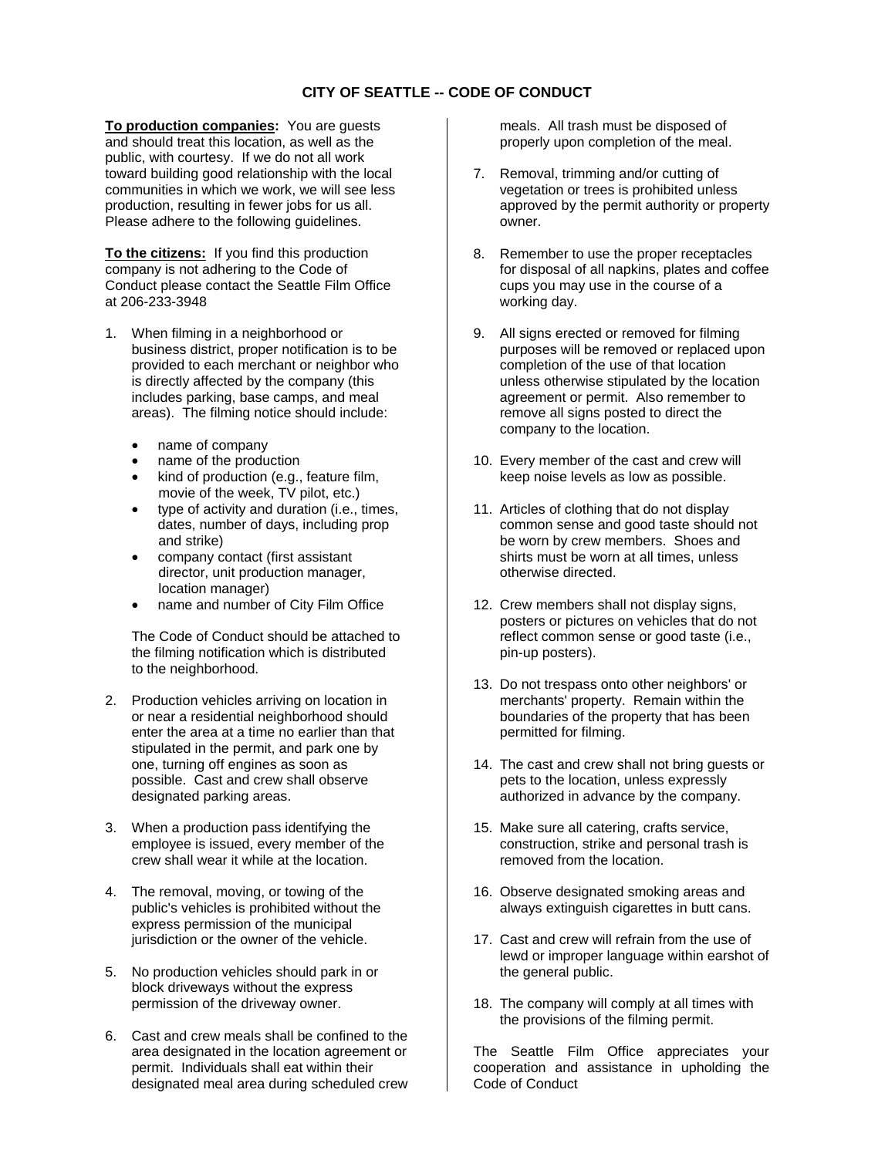## **CITY OF SEATTLE -- CODE OF CONDUCT**

**To production companies:** You are guests and should treat this location, as well as the public, with courtesy. If we do not all work toward building good relationship with the local communities in which we work, we will see less production, resulting in fewer jobs for us all. Please adhere to the following guidelines.

**To the citizens:** If you find this production company is not adhering to the Code of Conduct please contact the Seattle Film Office at 206-233-3948

- 1. When filming in a neighborhood or business district, proper notification is to be provided to each merchant or neighbor who is directly affected by the company (this includes parking, base camps, and meal areas). The filming notice should include:
	- name of company
	- name of the production
	- kind of production (e.g., feature film, movie of the week, TV pilot, etc.)
	- type of activity and duration (i.e., times, dates, number of days, including prop and strike)
	- company contact (first assistant director, unit production manager, location manager)
	- name and number of City Film Office

The Code of Conduct should be attached to the filming notification which is distributed to the neighborhood.

- 2. Production vehicles arriving on location in or near a residential neighborhood should enter the area at a time no earlier than that stipulated in the permit, and park one by one, turning off engines as soon as possible. Cast and crew shall observe designated parking areas.
- 3. When a production pass identifying the employee is issued, every member of the crew shall wear it while at the location.
- 4. The removal, moving, or towing of the public's vehicles is prohibited without the express permission of the municipal jurisdiction or the owner of the vehicle.
- 5. No production vehicles should park in or block driveways without the express permission of the driveway owner.
- 6. Cast and crew meals shall be confined to the area designated in the location agreement or permit. Individuals shall eat within their designated meal area during scheduled crew

meals. All trash must be disposed of properly upon completion of the meal.

- 7. Removal, trimming and/or cutting of vegetation or trees is prohibited unless approved by the permit authority or property owner.
- 8. Remember to use the proper receptacles for disposal of all napkins, plates and coffee cups you may use in the course of a working day.
- 9. All signs erected or removed for filming purposes will be removed or replaced upon completion of the use of that location unless otherwise stipulated by the location agreement or permit. Also remember to remove all signs posted to direct the company to the location.
- 10. Every member of the cast and crew will keep noise levels as low as possible.
- 11. Articles of clothing that do not display common sense and good taste should not be worn by crew members. Shoes and shirts must be worn at all times, unless otherwise directed.
- 12. Crew members shall not display signs, posters or pictures on vehicles that do not reflect common sense or good taste (i.e., pin-up posters).
- 13. Do not trespass onto other neighbors' or merchants' property. Remain within the boundaries of the property that has been permitted for filming.
- 14. The cast and crew shall not bring guests or pets to the location, unless expressly authorized in advance by the company.
- 15. Make sure all catering, crafts service, construction, strike and personal trash is removed from the location.
- 16. Observe designated smoking areas and always extinguish cigarettes in butt cans.
- 17. Cast and crew will refrain from the use of lewd or improper language within earshot of the general public.
- 18. The company will comply at all times with the provisions of the filming permit.

The Seattle Film Office appreciates your cooperation and assistance in upholding the Code of Conduct